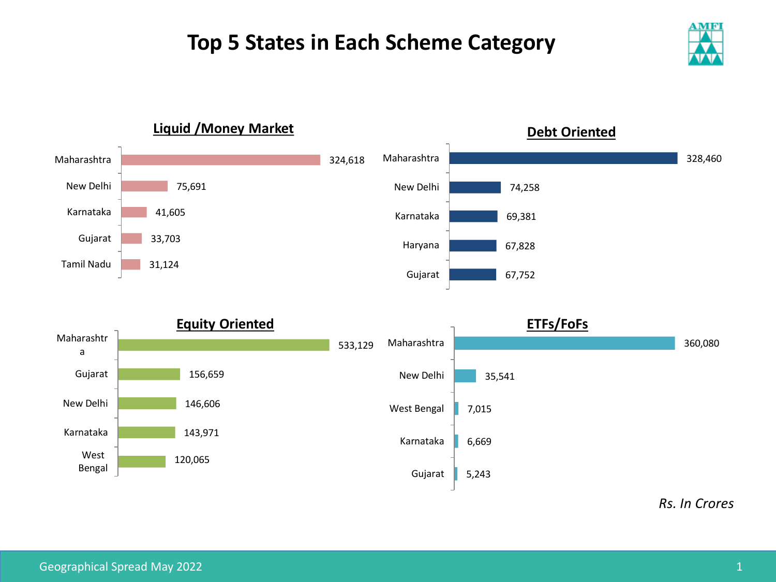## **Top 5 States in Each Scheme Category**





*Rs. In Crores*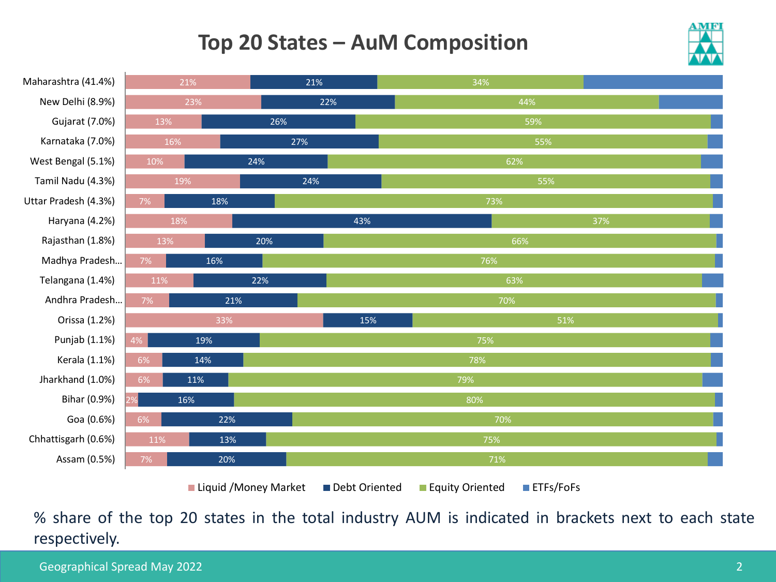## **Top 20 States – AuM Composition**





% share of the top 20 states in the total industry AUM is indicated in brackets next to each state respectively.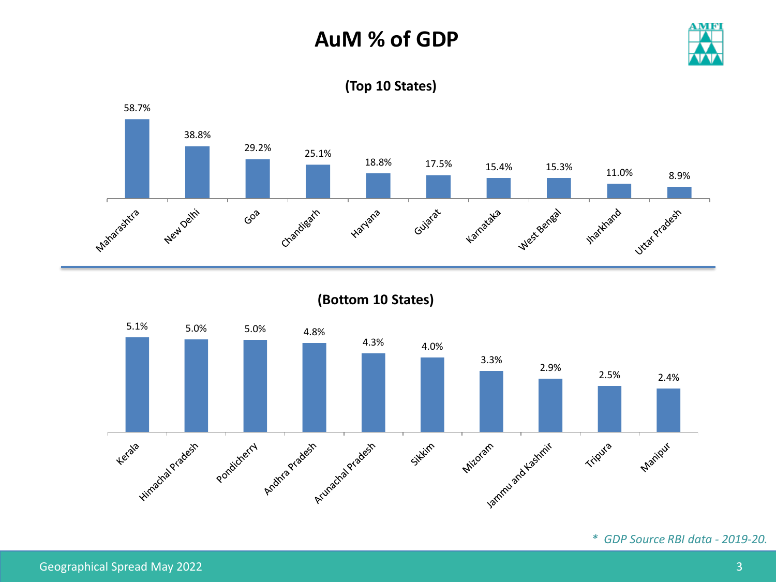## **AuM % of GDP**





**(Top 10 States)**

**(Bottom 10 States)**



*\* GDP Source RBI data - 2019-20.*